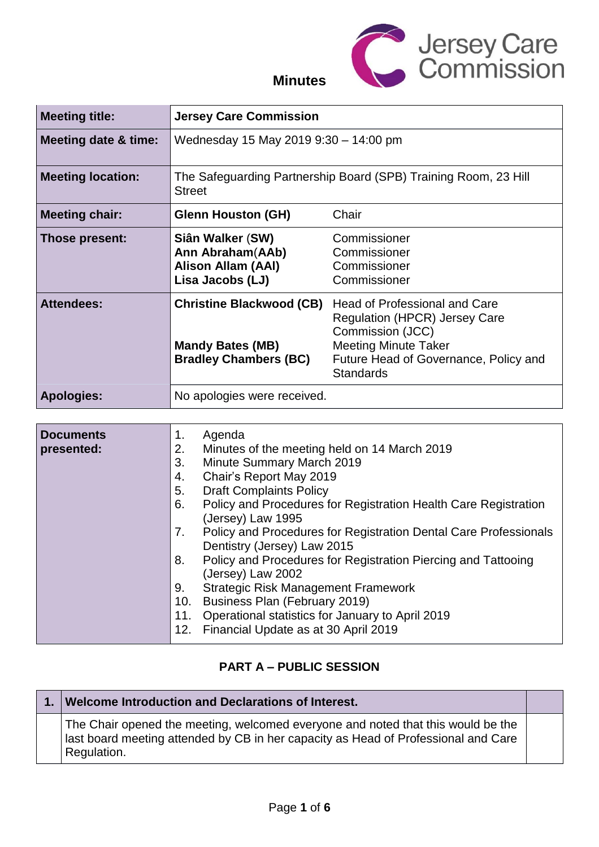

### **Minutes**

| <b>Meeting title:</b>           | <b>Jersey Care Commission</b>                                                              |                                                                                                                                                                                       |
|---------------------------------|--------------------------------------------------------------------------------------------|---------------------------------------------------------------------------------------------------------------------------------------------------------------------------------------|
| <b>Meeting date &amp; time:</b> | Wednesday 15 May 2019 9:30 - 14:00 pm                                                      |                                                                                                                                                                                       |
| <b>Meeting location:</b>        | <b>Street</b>                                                                              | The Safeguarding Partnership Board (SPB) Training Room, 23 Hill                                                                                                                       |
| <b>Meeting chair:</b>           | <b>Glenn Houston (GH)</b>                                                                  | Chair                                                                                                                                                                                 |
| Those present:                  | Siân Walker (SW)<br>Ann Abraham(AAb)<br><b>Alison Allam (AAI)</b><br>Lisa Jacobs (LJ)      | Commissioner<br>Commissioner<br>Commissioner<br>Commissioner                                                                                                                          |
| <b>Attendees:</b>               | <b>Christine Blackwood (CB)</b><br><b>Mandy Bates (MB)</b><br><b>Bradley Chambers (BC)</b> | Head of Professional and Care<br><b>Regulation (HPCR) Jersey Care</b><br>Commission (JCC)<br><b>Meeting Minute Taker</b><br>Future Head of Governance, Policy and<br><b>Standards</b> |
| <b>Apologies:</b>               | No apologies were received.                                                                |                                                                                                                                                                                       |

| <b>Documents</b><br>presented: | Agenda<br>1.<br>Minutes of the meeting held on 14 March 2019<br>2.<br>Minute Summary March 2019<br>3.<br>Chair's Report May 2019<br>4.<br><b>Draft Complaints Policy</b><br>5.<br>Policy and Procedures for Registration Health Care Registration<br>6.<br>(Jersey) Law 1995<br>Policy and Procedures for Registration Dental Care Professionals<br>7.<br>Dentistry (Jersey) Law 2015<br>Policy and Procedures for Registration Piercing and Tattooing<br>8. |
|--------------------------------|--------------------------------------------------------------------------------------------------------------------------------------------------------------------------------------------------------------------------------------------------------------------------------------------------------------------------------------------------------------------------------------------------------------------------------------------------------------|
|                                | (Jersey) Law 2002<br><b>Strategic Risk Management Framework</b><br>9.<br>Business Plan (February 2019)<br>10.<br>Operational statistics for January to April 2019<br>11.<br>Financial Update as at 30 April 2019<br>12.                                                                                                                                                                                                                                      |

#### **PART A – PUBLIC SESSION**

## **1. Welcome Introduction and Declarations of Interest.** The Chair opened the meeting, welcomed everyone and noted that this would be the last board meeting attended by CB in her capacity as Head of Professional and Care Regulation.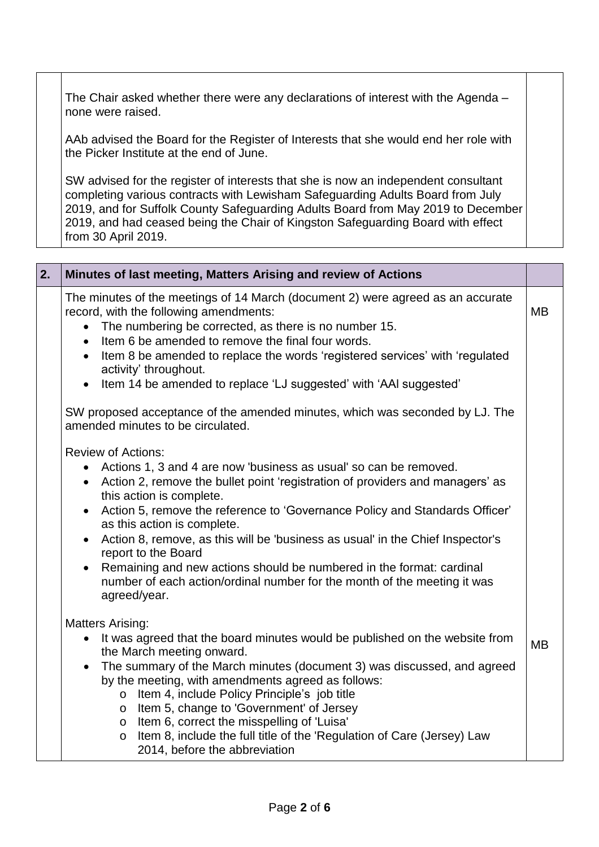The Chair asked whether there were any declarations of interest with the Agenda – none were raised.

AAb advised the Board for the Register of Interests that she would end her role with the Picker Institute at the end of June.

SW advised for the register of interests that she is now an independent consultant completing various contracts with Lewisham Safeguarding Adults Board from July 2019, and for Suffolk County Safeguarding Adults Board from May 2019 to December 2019, and had ceased being the Chair of Kingston Safeguarding Board with effect from 30 April 2019.

| 2. | Minutes of last meeting, Matters Arising and review of Actions                                                                                                                                                                                                                                                                                                                                                                                                                                                                                                                                                                                  |           |
|----|-------------------------------------------------------------------------------------------------------------------------------------------------------------------------------------------------------------------------------------------------------------------------------------------------------------------------------------------------------------------------------------------------------------------------------------------------------------------------------------------------------------------------------------------------------------------------------------------------------------------------------------------------|-----------|
|    | The minutes of the meetings of 14 March (document 2) were agreed as an accurate<br>record, with the following amendments:<br>The numbering be corrected, as there is no number 15.<br>$\bullet$<br>Item 6 be amended to remove the final four words.<br>$\bullet$<br>Item 8 be amended to replace the words 'registered services' with 'regulated<br>$\bullet$<br>activity' throughout.<br>Item 14 be amended to replace 'LJ suggested' with 'AAI suggested'                                                                                                                                                                                    | <b>MB</b> |
|    | SW proposed acceptance of the amended minutes, which was seconded by LJ. The<br>amended minutes to be circulated.                                                                                                                                                                                                                                                                                                                                                                                                                                                                                                                               |           |
|    | <b>Review of Actions:</b><br>Actions 1, 3 and 4 are now 'business as usual' so can be removed.<br>$\bullet$<br>• Action 2, remove the bullet point 'registration of providers and managers' as<br>this action is complete.<br>Action 5, remove the reference to 'Governance Policy and Standards Officer'<br>as this action is complete.<br>Action 8, remove, as this will be 'business as usual' in the Chief Inspector's<br>$\bullet$<br>report to the Board<br>Remaining and new actions should be numbered in the format: cardinal<br>$\bullet$<br>number of each action/ordinal number for the month of the meeting it was<br>agreed/year. |           |
|    | <b>Matters Arising:</b><br>It was agreed that the board minutes would be published on the website from<br>the March meeting onward.<br>The summary of the March minutes (document 3) was discussed, and agreed<br>$\bullet$<br>by the meeting, with amendments agreed as follows:<br>Item 4, include Policy Principle's job title<br>$\mathsf{O}$<br>o Item 5, change to 'Government' of Jersey<br>o Item 6, correct the misspelling of 'Luisa'<br>Item 8, include the full title of the 'Regulation of Care (Jersey) Law<br>$\mathsf{o}$<br>2014, before the abbreviation                                                                      | <b>MB</b> |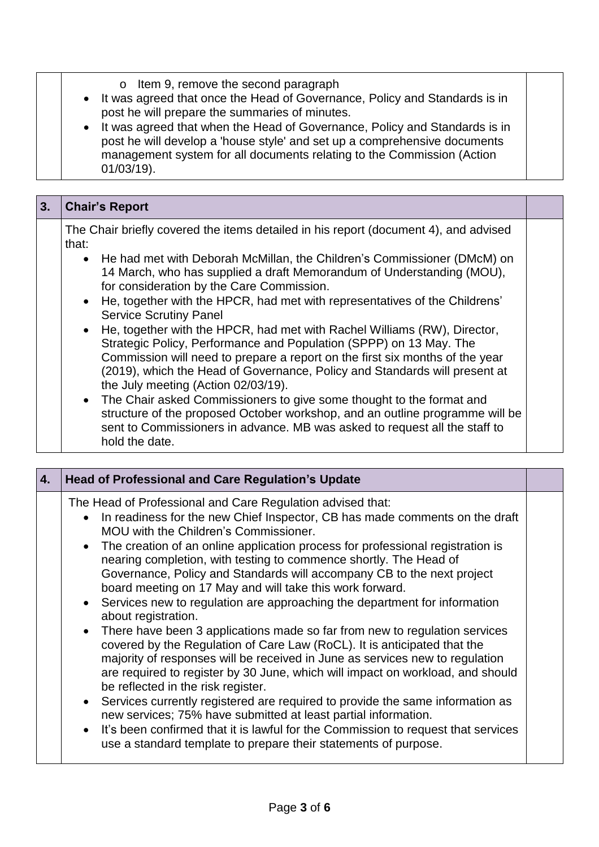- o Item 9, remove the second paragraph
- It was agreed that once the Head of Governance, Policy and Standards is in post he will prepare the summaries of minutes.
- It was agreed that when the Head of Governance, Policy and Standards is in post he will develop a 'house style' and set up a comprehensive documents management system for all documents relating to the Commission (Action 01/03/19).

| 3. | <b>Chair's Report</b>                                                                                                                                                                                                                                  |  |
|----|--------------------------------------------------------------------------------------------------------------------------------------------------------------------------------------------------------------------------------------------------------|--|
|    | The Chair briefly covered the items detailed in his report (document 4), and advised<br>that:                                                                                                                                                          |  |
|    | • He had met with Deborah McMillan, the Children's Commissioner (DMcM) on<br>14 March, who has supplied a draft Memorandum of Understanding (MOU),<br>for consideration by the Care Commission.                                                        |  |
|    | • He, together with the HPCR, had met with representatives of the Childrens'<br><b>Service Scrutiny Panel</b>                                                                                                                                          |  |
|    | • He, together with the HPCR, had met with Rachel Williams (RW), Director,<br>Strategic Policy, Performance and Population (SPPP) on 13 May. The<br>Commission will need to prepare a report on the first six months of the year                       |  |
|    | (2019), which the Head of Governance, Policy and Standards will present at<br>the July meeting (Action 02/03/19).                                                                                                                                      |  |
|    | • The Chair asked Commissioners to give some thought to the format and<br>structure of the proposed October workshop, and an outline programme will be<br>sent to Commissioners in advance. MB was asked to request all the staff to<br>hold the date. |  |

| 4. | <b>Head of Professional and Care Regulation's Update</b>                                                                                                                                                                                                                                                                                                                                                                                                                                                                                                                                                                                                                                                                                                                                                                                                                                                                                                                                                                                                                                                                                                                                                                                                                     |  |
|----|------------------------------------------------------------------------------------------------------------------------------------------------------------------------------------------------------------------------------------------------------------------------------------------------------------------------------------------------------------------------------------------------------------------------------------------------------------------------------------------------------------------------------------------------------------------------------------------------------------------------------------------------------------------------------------------------------------------------------------------------------------------------------------------------------------------------------------------------------------------------------------------------------------------------------------------------------------------------------------------------------------------------------------------------------------------------------------------------------------------------------------------------------------------------------------------------------------------------------------------------------------------------------|--|
|    | The Head of Professional and Care Regulation advised that:<br>• In readiness for the new Chief Inspector, CB has made comments on the draft<br>MOU with the Children's Commissioner.<br>• The creation of an online application process for professional registration is<br>nearing completion, with testing to commence shortly. The Head of<br>Governance, Policy and Standards will accompany CB to the next project<br>board meeting on 17 May and will take this work forward.<br>• Services new to regulation are approaching the department for information<br>about registration.<br>• There have been 3 applications made so far from new to regulation services<br>covered by the Regulation of Care Law (RoCL). It is anticipated that the<br>majority of responses will be received in June as services new to regulation<br>are required to register by 30 June, which will impact on workload, and should<br>be reflected in the risk register.<br>• Services currently registered are required to provide the same information as<br>new services; 75% have submitted at least partial information.<br>• It's been confirmed that it is lawful for the Commission to request that services<br>use a standard template to prepare their statements of purpose. |  |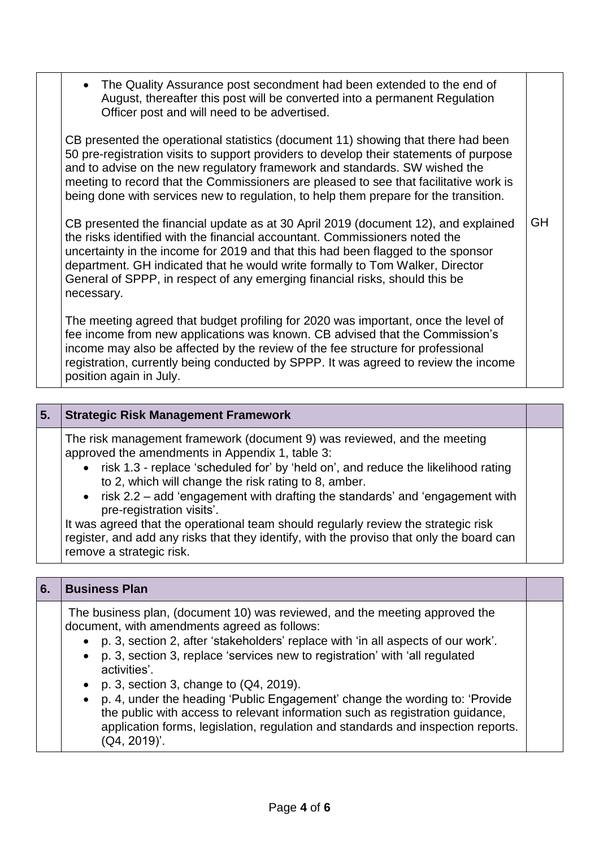| • The Quality Assurance post secondment had been extended to the end of<br>August, thereafter this post will be converted into a permanent Regulation<br>Officer post and will need to be advertised.                                                                                                                                                                                                                                      |    |
|--------------------------------------------------------------------------------------------------------------------------------------------------------------------------------------------------------------------------------------------------------------------------------------------------------------------------------------------------------------------------------------------------------------------------------------------|----|
| CB presented the operational statistics (document 11) showing that there had been<br>50 pre-registration visits to support providers to develop their statements of purpose<br>and to advise on the new regulatory framework and standards. SW wished the<br>meeting to record that the Commissioners are pleased to see that facilitative work is<br>being done with services new to regulation, to help them prepare for the transition. |    |
| CB presented the financial update as at 30 April 2019 (document 12), and explained<br>the risks identified with the financial accountant. Commissioners noted the<br>uncertainty in the income for 2019 and that this had been flagged to the sponsor<br>department. GH indicated that he would write formally to Tom Walker, Director<br>General of SPPP, in respect of any emerging financial risks, should this be<br>necessary.        | GH |
| The meeting agreed that budget profiling for 2020 was important, once the level of<br>fee income from new applications was known. CB advised that the Commission's<br>income may also be affected by the review of the fee structure for professional<br>registration, currently being conducted by SPPP. It was agreed to review the income<br>position again in July.                                                                    |    |

| 5. | <b>Strategic Risk Management Framework</b>                                                                                                                                                                                                                                                                                                                                                                                                                                                                                                                                                                |  |
|----|-----------------------------------------------------------------------------------------------------------------------------------------------------------------------------------------------------------------------------------------------------------------------------------------------------------------------------------------------------------------------------------------------------------------------------------------------------------------------------------------------------------------------------------------------------------------------------------------------------------|--|
|    | The risk management framework (document 9) was reviewed, and the meeting<br>approved the amendments in Appendix 1, table 3:<br>• risk 1.3 - replace 'scheduled for' by 'held on', and reduce the likelihood rating<br>to 2, which will change the risk rating to 8, amber.<br>• risk $2.2 - add$ 'engagement with drafting the standards' and 'engagement with<br>pre-registration visits'.<br>It was agreed that the operational team should regularly review the strategic risk<br>register, and add any risks that they identify, with the proviso that only the board can<br>remove a strategic risk. |  |

| 6. | <b>Business Plan</b>                                                                                                                                                                                                                                                                                                                                                                                                                                                                                                                                                                                                                                                   |  |
|----|------------------------------------------------------------------------------------------------------------------------------------------------------------------------------------------------------------------------------------------------------------------------------------------------------------------------------------------------------------------------------------------------------------------------------------------------------------------------------------------------------------------------------------------------------------------------------------------------------------------------------------------------------------------------|--|
|    | The business plan, (document 10) was reviewed, and the meeting approved the<br>document, with amendments agreed as follows:<br>p. 3, section 2, after 'stakeholders' replace with 'in all aspects of our work'.<br>p. 3, section 3, replace 'services new to registration' with 'all regulated<br>$\bullet$<br>activities'.<br>p. 3, section 3, change to $(Q4, 2019)$ .<br>$\bullet$<br>p. 4, under the heading 'Public Engagement' change the wording to: 'Provide<br>$\bullet$<br>the public with access to relevant information such as registration guidance,<br>application forms, legislation, regulation and standards and inspection reports.<br>(Q4, 2019)'. |  |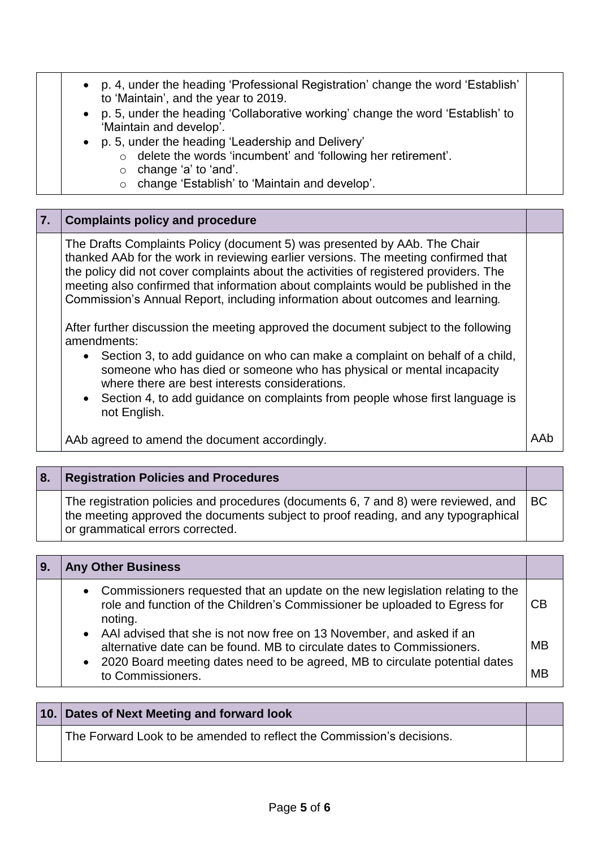p. 4, under the heading 'Professional Registration' change the word 'Establish' to 'Maintain', and the year to 2019. p. 5, under the heading 'Collaborative working' change the word 'Establish' to 'Maintain and develop'. p. 5, under the heading 'Leadership and Delivery' o delete the words 'incumbent' and 'following her retirement'. o change 'a' to 'and'. o change 'Establish' to 'Maintain and develop'.

| 7. | <b>Complaints policy and procedure</b>                                                                                                                                                                                                                                                                                                                                                                                           |  |
|----|----------------------------------------------------------------------------------------------------------------------------------------------------------------------------------------------------------------------------------------------------------------------------------------------------------------------------------------------------------------------------------------------------------------------------------|--|
|    | The Drafts Complaints Policy (document 5) was presented by AAb. The Chair<br>thanked AAb for the work in reviewing earlier versions. The meeting confirmed that<br>the policy did not cover complaints about the activities of registered providers. The<br>meeting also confirmed that information about complaints would be published in the<br>Commission's Annual Report, including information about outcomes and learning. |  |
|    | After further discussion the meeting approved the document subject to the following<br>amendments:                                                                                                                                                                                                                                                                                                                               |  |
|    | • Section 3, to add guidance on who can make a complaint on behalf of a child,<br>someone who has died or someone who has physical or mental incapacity<br>where there are best interests considerations.<br>• Section 4, to add guidance on complaints from people whose first language is<br>not English.                                                                                                                      |  |

AAb agreed to amend the document accordingly.

| l 8. | <b>Registration Policies and Procedures</b>                                                                                                                                                                  |    |
|------|--------------------------------------------------------------------------------------------------------------------------------------------------------------------------------------------------------------|----|
|      | The registration policies and procedures (documents 6, 7 and 8) were reviewed, and<br>the meeting approved the documents subject to proof reading, and any typographical<br>or grammatical errors corrected. | BC |

| <b>Any Other Business</b>                                                                                                                                                                                                         |    |
|-----------------------------------------------------------------------------------------------------------------------------------------------------------------------------------------------------------------------------------|----|
| • Commissioners requested that an update on the new legislation relating to the<br>role and function of the Children's Commissioner be uploaded to Egress for<br>noting.                                                          | СB |
| • AAI advised that she is not now free on 13 November, and asked if an<br>alternative date can be found. MB to circulate dates to Commissioners.<br>• 2020 Board meeting dates need to be agreed, MB to circulate potential dates | MB |
| to Commissioners.                                                                                                                                                                                                                 | MR |

| 10. Dates of Next Meeting and forward look                            |  |
|-----------------------------------------------------------------------|--|
| The Forward Look to be amended to reflect the Commission's decisions. |  |